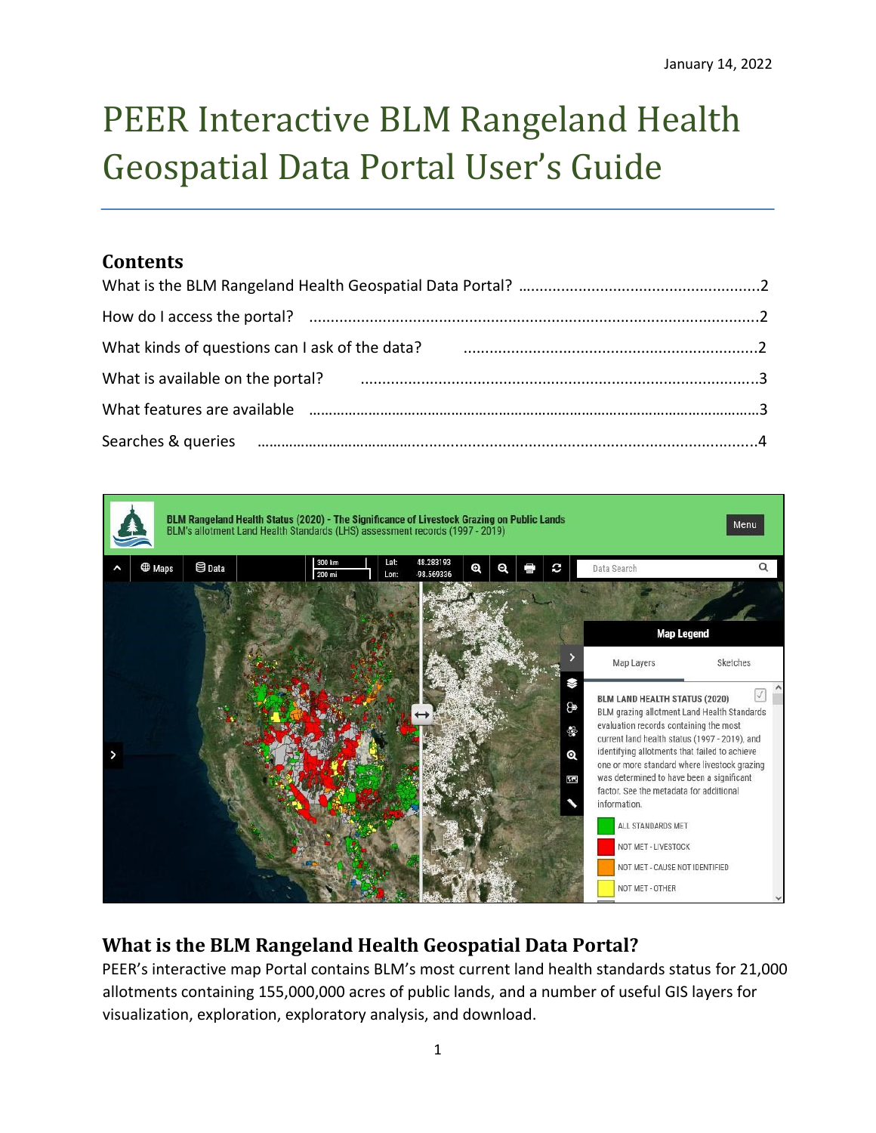# PEER Interactive BLM Rangeland Health Geospatial Data Portal User's Guide

## **Contents**

| What kinds of questions can I ask of the data? Manummun manummun municipal and what kinds of questions can I ask of the data? |  |
|-------------------------------------------------------------------------------------------------------------------------------|--|
| What is available on the portal? использование и поставление и поставление и поставление и по-                                |  |
|                                                                                                                               |  |
| Searches & queries manufactured and an anti-                                                                                  |  |



# **What is the BLM Rangeland Health Geospatial Data Portal?**

PEER's interactive map Portal contains BLM's most current land health standards status for 21,000 allotments containing 155,000,000 acres of public lands, and a number of useful GIS layers for visualization, exploration, exploratory analysis, and download.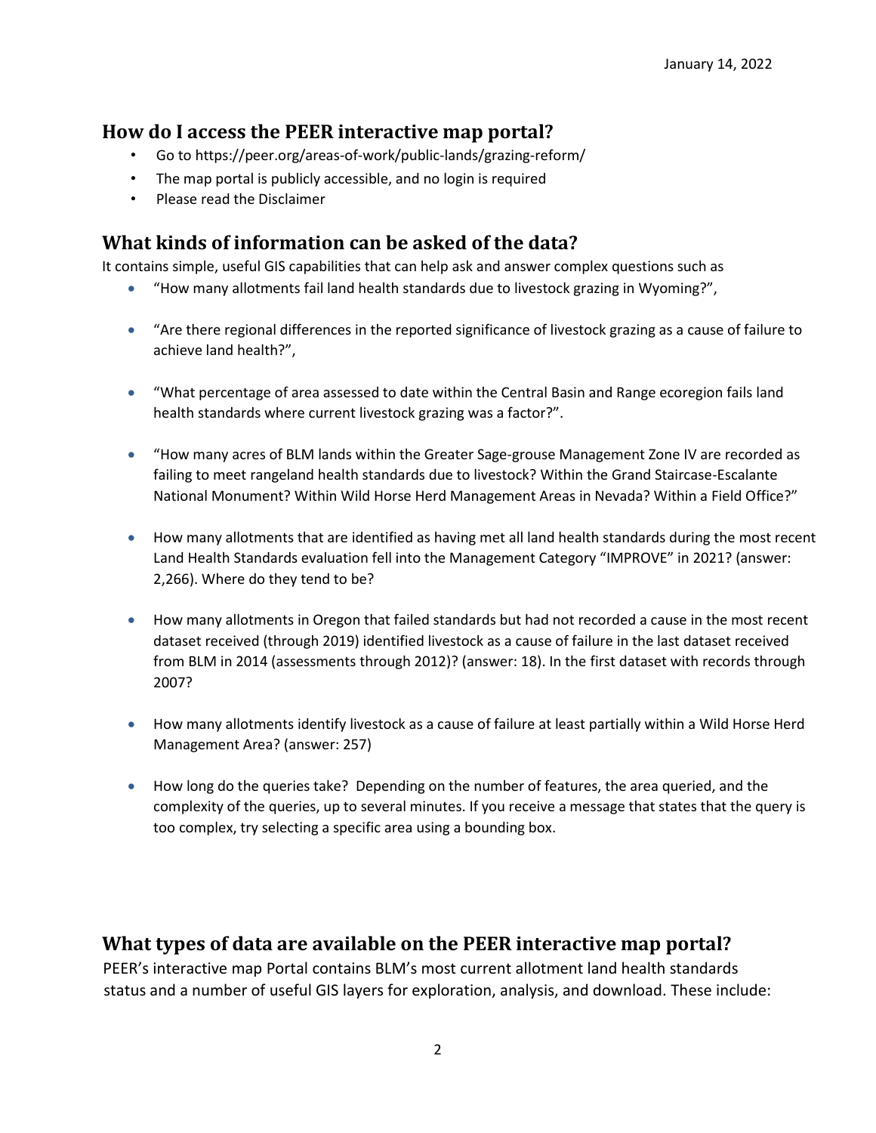## **How do I access the PEER interactive map portal?**

- Go to https://peer.org/areas-of-work/public-lands/grazing-reform[/](https://landscape.blm.gov/geoportal)
- The map portal is publicly accessible, and no login is required
- Please read the Disclaimer

# **What kinds of information can be asked of the data?**

It contains simple, useful GIS capabilities that can help ask and answer complex questions such as

- "How many allotments fail land health standards due to livestock grazing in Wyoming?",
- "Are there regional differences in the reported significance of livestock grazing as a cause of failure to achieve land health?",
- "What percentage of area assessed to date within the Central Basin and Range ecoregion fails land health standards where current livestock grazing was a factor?".
- "How many acres of BLM lands within the Greater Sage-grouse Management Zone IV are recorded as failing to meet rangeland health standards due to livestock? Within the Grand Staircase-Escalante National Monument? Within Wild Horse Herd Management Areas in Nevada? Within a Field Office?"
- How many allotments that are identified as having met all land health standards during the most recent Land Health Standards evaluation fell into the Management Category "IMPROVE" in 2021? (answer: 2,266). Where do they tend to be?
- How many allotments in Oregon that failed standards but had not recorded a cause in the most recent dataset received (through 2019) identified livestock as a cause of failure in the last dataset received from BLM in 2014 (assessments through 2012)? (answer: 18). In the first dataset with records through 2007?
- How many allotments identify livestock as a cause of failure at least partially within a Wild Horse Herd Management Area? (answer: 257)
- How long do the queries take? Depending on the number of features, the area queried, and the complexity of the queries, up to several minutes. If you receive a message that states that the query is too complex, try selecting a specific area using a bounding box.

### **What types of data are available on the PEER interactive map portal?**

PEER's interactive map Portal contains BLM's most current allotment land health standards status and a number of useful GIS layers for exploration, analysis, and download. These include: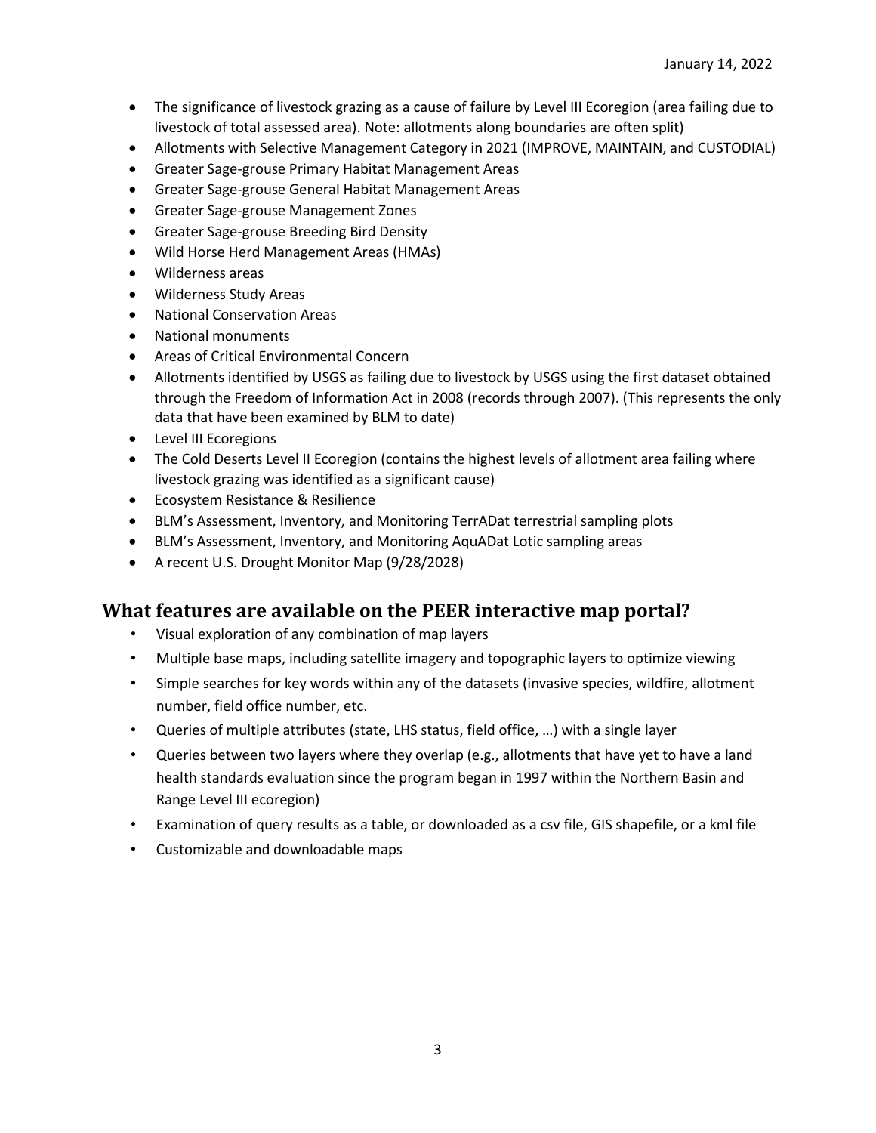- The significance of livestock grazing as a cause of failure by Level III Ecoregion (area failing due to livestock of total assessed area). Note: allotments along boundaries are often split)
- Allotments with Selective Management Category in 2021 (IMPROVE, MAINTAIN, and CUSTODIAL)
- Greater Sage-grouse Primary Habitat Management Areas
- Greater Sage-grouse General Habitat Management Areas
- Greater Sage-grouse Management Zones
- Greater Sage-grouse Breeding Bird Density
- Wild Horse Herd Management Areas (HMAs)
- Wilderness areas
- Wilderness Study Areas
- National Conservation Areas
- National monuments
- Areas of Critical Environmental Concern
- Allotments identified by USGS as failing due to livestock by USGS using the first dataset obtained through the Freedom of Information Act in 2008 (records through 2007). (This represents the only data that have been examined by BLM to date)
- Level III Ecoregions
- The Cold Deserts Level II Ecoregion (contains the highest levels of allotment area failing where livestock grazing was identified as a significant cause)
- Ecosystem Resistance & Resilience
- BLM's Assessment, Inventory, and Monitoring TerrADat terrestrial sampling plots
- BLM's Assessment, Inventory, and Monitoring AquADat Lotic sampling areas
- A recent U.S. Drought Monitor Map (9/28/2028)

#### **What features are available on the PEER interactive map portal?**

- Visual exploration of any combination of map layers
- Multiple base maps, including satellite imagery and topographic layers to optimize viewing
- Simple searches for key words within any of the datasets (invasive species, wildfire, allotment number, field office number, etc.
- Queries of multiple attributes (state, LHS status, field office, …) with a single layer
- Queries between two layers where they overlap (e.g., allotments that have yet to have a land health standards evaluation since the program began in 1997 within the Northern Basin and Range Level III ecoregion)
- Examination of query results as a table, or downloaded as a csv file, GIS shapefile, or a kml file
- Customizable and downloadable maps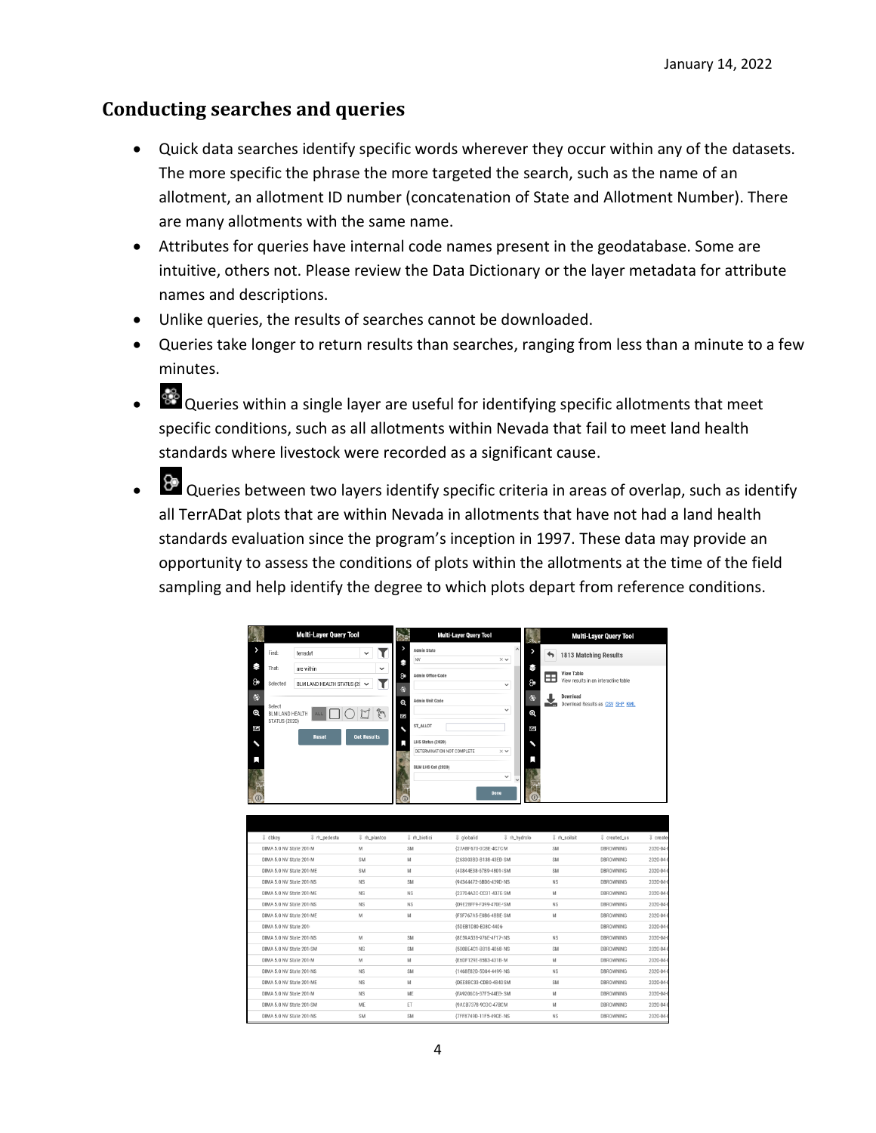#### **Conducting searches and queries**

- Quick data searches identify specific words wherever they occur within any of the datasets. The more specific the phrase the more targeted the search, such as the name of an allotment, an allotment ID number (concatenation of State and Allotment Number). There are many allotments with the same name.
- Attributes for queries have internal code names present in the geodatabase. Some are intuitive, others not. Please review the Data Dictionary or the layer metadata for attribute names and descriptions.
- Unlike queries, the results of searches cannot be downloaded.
- Queries take longer to return results than searches, ranging from less than a minute to a few minutes.
- $\bullet$   $\bullet$  Queries within a single layer are useful for identifying specific allotments that meet specific conditions, such as all allotments within Nevada that fail to meet land health standards where livestock were recorded as a significant cause.
- $\bullet$   $\overline{8}$  Queries between two layers identify specific criteria in areas of overlap, such as identify all TerrADat plots that are within Nevada in allotments that have not had a land health standards evaluation since the program's inception in 1997. These data may provide an opportunity to assess the conditions of plots within the allotments at the time of the field sampling and help identify the degree to which plots depart from reference conditions.